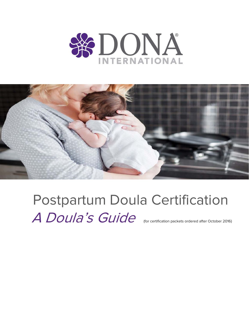



Postpartum Doula Certification A Doula's Guide (for certification packets ordered after October 2016)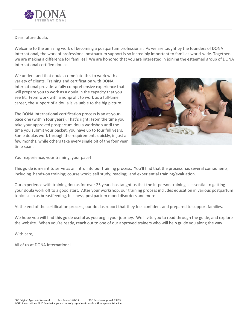

# Dear future doula,

Welcome to the amazing work of becoming a postpartum professional. As we are taught by the founders of DONA International, the work of professional postpartum support is so incredibly important to families world-wide. Together, we are making a difference for families! We are honored that you are interested in joining the esteemed group of DONA International certified doulas.

We understand that doulas come into this to work with a variety of clients. Training and certification with DONA International provide a fully comprehensive experience that will prepare you to work as a doula in the capacity that you see fit. From work with a nonprofit to work as a full-time career, the support of a doula is valuable to the big picture.

The DONA International certification process is an at-yourpace one (within four years). That's right! From the time you take your approved postpartum doula workshop until the time you submit your packet, you have up to four full years. Some doulas work through the requirements quickly, in just a few months, while others take every single bit of the four year time span.

![](_page_1_Picture_5.jpeg)

Your experience, your training, your pace!

This guide is meant to serve as an intro into our training process. You'll find that the process has several components, including hands-on training; course work; self study; reading; and experiential training/evaluation.

Our experience with training doulas for over 25 years has taught us that the in-person training is essential to getting your doula work off to a good start. After your workshop, our training process includes education in various postpartum topics such as breastfeeding, business, postpartum mood disorders and more.

At the end of the certification process, our doulas report that they feel confident and prepared to support families.

We hope you will find this guide useful as you begin your journey. We invite you to read through the guide, and explore the website. When you're ready, reach out to one of our approved trainers who will help guide you along the way.

With care,

All of us at DONA International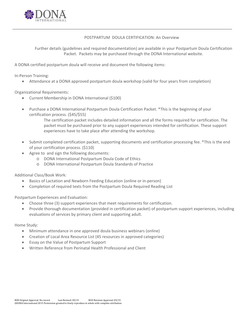![](_page_2_Picture_0.jpeg)

### POSTPARTUM DOULA CERTIFICATION: An Overview

Further details (guidelines and required documentation) are available in your Postpartum Doula Certification Packet. Packets may be purchased through the DONA International website.

A DONA certified postpartum doula will receive and document the following items:

In-Person Training:

• Attendance at a DONA approved postpartum doula workshop (valid for four years from completion)

Organizational Requirements:

- Current Membership in DONA International (\$100)
- Purchase a DONA International Postpartum Doula Certification Packet. \*This is the beginning of your certification process. (\$45/\$55)

The certification packet includes detailed information and all the forms required for certification. The packet must be purchased prior to any support experiences intended for certification. These support experiences have to take place after attending the workshop.

- Submit completed certification packet, supporting documents and certification processing fee. \*This is the end of your certification process. (\$110)
- Agree to and sign the following documents:
	- o DONA International Postpartum Doula Code of Ethics
	- o DONA International Postpartum Doula Standards of Practice

Additional Class/Book Work:

- Basics of Lactation and Newborn Feeding Education (online or in-person)
- Completion of required texts from the Postpartum Doula Required Reading List

Postpartum Experiences and Evaluation:

- Choose three (3) support experiences that meet requirements for certification.
- Provide thorough documentation (provided in certification packet) of postpartum support experiences, including evaluations of services by primary client and supporting adult.

Home Study:

- Minimum attendance in one approved doula business webinars (online)
- Creation of Local Area Resource List (45 resources in approved categories)
- Essay on the Value of Postpartum Support
- Written Reference from Perinatal Health Professional and Client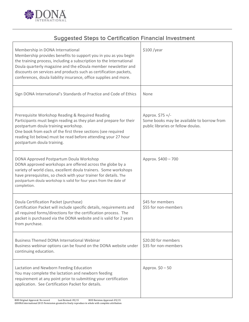![](_page_3_Picture_0.jpeg)

# Suggested Steps to Certification Financial Investment

| Membership in DONA International<br>Membership provides benefits to support you in you as you begin<br>the training process, including a subscription to the International<br>Doula quarterly magazine and the eDoula member newsletter and<br>discounts on services and products such as certification packets,<br>conferences, doula liability insurance, office supplies and more. | $$100$ /year                                                                                         |
|---------------------------------------------------------------------------------------------------------------------------------------------------------------------------------------------------------------------------------------------------------------------------------------------------------------------------------------------------------------------------------------|------------------------------------------------------------------------------------------------------|
| Sign DONA International's Standards of Practice and Code of Ethics                                                                                                                                                                                                                                                                                                                    | None                                                                                                 |
| Prerequisite Workshop Reading & Required Reading<br>Participants must begin reading as they plan and prepare for their<br>postpartum doula training workshop.<br>One book from each of the first three sections (see required<br>reading list below) must be read before attending your 27 hour<br>postpartum doula training.                                                         | Approx. \$75 +/-<br>Some books may be available to borrow from<br>public libraries or fellow doulas. |
| DONA Approved Postpartum Doula Workshop<br>DONA approved workshops are offered across the globe by a<br>variety of world class, excellent doula trainers. Some workshops<br>have prerequisites, so check with your trainer for details. The<br>postpartum doula workshop is valid for four years from the date of<br>completion.                                                      | Approx. \$400 - 700                                                                                  |
| Doula Certification Packet (purchase)<br>Certification Packet will include specific details, requirements and<br>all required forms/directions for the certification process. The<br>packet is purchased via the DONA website and is valid for 2 years<br>from purchase.                                                                                                              | \$45 for members<br>\$55 for non-members                                                             |
| <b>Business Themed DONA International Webinar</b><br>Business webinar options can be found on the DONA website under<br>continuing education.                                                                                                                                                                                                                                         | \$20.00 for members<br>\$35 for non-members                                                          |
| Lactation and Newborn Feeding Education<br>You may complete the lactation and newborn feeding<br>requirement at any point prior to submitting your certification<br>application. See Certification Packet for details.                                                                                                                                                                | Approx. $$0 - 50$                                                                                    |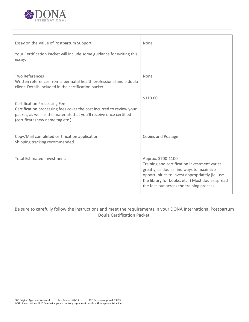![](_page_4_Picture_0.jpeg)

| Essay on the Value of Postpartum Support<br>Your Certification Packet will include some guidance for writing this<br>essay.                                                                                            | None                                                                                                                                                                                                                                                              |
|------------------------------------------------------------------------------------------------------------------------------------------------------------------------------------------------------------------------|-------------------------------------------------------------------------------------------------------------------------------------------------------------------------------------------------------------------------------------------------------------------|
| Two References<br>Written references from a perinatal health professional and a doula<br>client. Details included in the certification packet.                                                                         | None                                                                                                                                                                                                                                                              |
| <b>Certification Processing Fee</b><br>Certification processing fees cover the cost incurred to review your<br>packet, as well as the materials that you'll receive once certified<br>(certificate/new name tag etc.). | \$110.00                                                                                                                                                                                                                                                          |
| Copy/Mail completed certification application<br>Shipping tracking recommended.                                                                                                                                        | Copies and Postage                                                                                                                                                                                                                                                |
| Total Estimated Investment:                                                                                                                                                                                            | Approx. \$700-1100<br>Training and certification investment varies<br>greatly, as doulas find ways to maximize<br>opportunities to invest appropriately (ie. use<br>the library for books, etc. ) Most doulas spread<br>the fees out across the training process. |

Be sure to carefully follow the instructions and meet the requirements in your DONA International Postpartum Doula Certification Packet.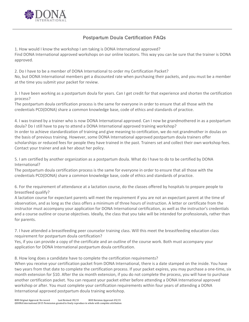![](_page_5_Picture_0.jpeg)

# Postpartum Doula Certification FAQs

1. How would I know the workshop I am taking is DONA International approved? Find DONA International approved workshops on our online locators. This way you can be sure that the trainer is DONA approved.

2. Do I have to be a member of DONA International to order my Certification Packet? No, but DONA International members get a discounted rate when purchasing their packets, and you must be a member at the time you submit your packet for review.

3. I have been working as a postpartum doula for years. Can I get credit for that experience and shorten the certification process?

The postpartum doula certification process is the same for everyone in order to ensure that all those with the credentials PCD(DONA) share a common knowledge base, code of ethics and standards of practice.

4. I was trained by a trainer who is now DONA International approved. Can I now be grandmothered in as a postpartum doula? Do I still have to pay to attend a DONA International approved training workshop? In order to achieve standardization of training and give meaning to certification, we do not grandmother in doulas on the basis of previous training. However, some DONA International approved postpartum doula trainers offer scholarships or reduced fees for people they have trained in the past. Trainers set and collect their own workshop fees. Contact your trainer and ask her about her policy.

5. I am certified by another organization as a postpartum doula. What do I have to do to be certified by DONA International?

The postpartum doula certification process is the same for everyone in order to ensure that all those with the credentials PCD(DONA) share a common knowledge base, code of ethics and standards of practice.

6. For the requirement of attendance at a lactation course, do the classes offered by hospitals to prepare people to breastfeed qualify?

A lactation course for expectant parents will meet the requirement if you are not an expectant parent at the time of observation, and as long as the class offers a minimum of three hours of instruction. A letter or certificate from the instructor must accompany your application for DONA International certification, as well as the instructor's credentials and a course outline or course objectives. Ideally, the class that you take will be intended for professionals, rather than for parents.

7. I have attended a breastfeeding peer counselor training class. Will this meet the breastfeeding education class requirement for postpartum doula certification?

Yes, if you can provide a copy of the certificate and an outline of the course work. Both must accompany your application for DONA International postpartum doula certification.

8. How long does a candidate have to complete the certification requirements?

When you receive your certification packet from DONA International, there is a date stamped on the inside. You have two years from that date to complete the certification process. If your packet expires, you may purchase a one-time, six month extension for \$10. After the six month extension, if you do not complete the process, you will have to purchase another certification packet. You can request your packet either before attending a DONA International approved workshop or after. You must complete your certification requirements within four years of attending a DONA International approved postpartum doula training workshop.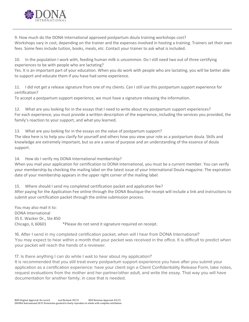![](_page_6_Picture_0.jpeg)

9. How much do the DONA International approved postpartum doula training workshops cost? Workshops vary in cost, depending on the trainer and the expenses involved in hosting a training. Trainers set their own fees. Some fees include tuition, books, meals, etc. Contact your trainer to ask what is included.

10. In the population I work with, feeding human milk is uncommon. Do I still need two out of three certifying experiences to be with people who are lactating?

Yes. It is an important part of your education. When you do work with people who are lactating, you will be better able to support and educate them if you have had some experience.

11. I did not get a release signature from one of my clients. Can I still use this postpartum support experience for certification?

To accept a postpartum support experience, we must have a signature releasing the information.

12. What are you looking for in the essays that I need to write about my postpartum support experiences? For each experience, you must provide a written description of the experience, including the services you provided, the family's reaction to your support, and what you learned.

13. What are you looking for in the essays on the value of postpartum support? The idea here is to help you clarify for yourself and others how you view your role as a postpartum doula. Skills and knowledge are extremely important, but so are a sense of purpose and an understanding of the essence of doula support.

14. How do I verify my DONA International membership?

When you mail your application for certification to DONA International, you must be a current member. You can verify your membership by checking the mailing label on the latest issue of your International Doula magazine. The expiration date of your membership appears in the upper right corner of the mailing label.

15. Where should I send my completed certification packet and application fee?

After paying for the Application Fee online through the DONA Boutique the receipt will include a link and instructions to submit your certification packet through the online submission process.

You may also mail it to: DONA International 35 E. Wacker Dr., Ste 850 Chicago, IL 60601 \*\*Please do not send it signature required on receipt.

16. After I send in my completed certification packet, when will I hear from DONA International? You may expect to hear within a month that your packet was received in the office. It is difficult to predict when your packet will reach the hands of a reviewer.

17. Is there anything I can do while I wait to hear about my application?

It is recommended that you still treat every postpartum support experience you have after you submit your application as a certification experience: have your client sign a Client Confidentiality Release Form, take notes, request evaluations from the mother and her partner/other adult, and write the essay. That way you will have documentation for another family, in case that is needed.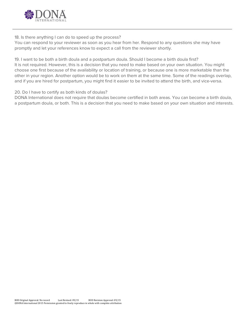![](_page_7_Picture_0.jpeg)

18. Is there anything I can do to speed up the process?

You can respond to your reviewer as soon as you hear from her. Respond to any questions she may have promptly and let your references know to expect a call from the reviewer shortly.

19. I want to be both a birth doula and a postpartum doula. Should I become a birth doula first? It is not required. However, this is a decision that you need to make based on your own situation. You might choose one first because of the availability or location of training, or because one is more marketable than the other in your region. Another option would be to work on them at the same time. Some of the readings overlap, and if you are hired for postpartum, you might find it easier to be invited to attend the birth, and vice-versa.

20. Do I have to certify as both kinds of doulas?

DONA International does not require that doulas become certified in both areas. You can become a birth doula, a postpartum doula, or both. This is a decision that you need to make based on your own situation and interests.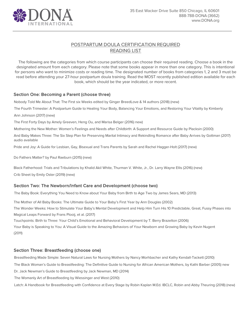![](_page_8_Picture_0.jpeg)

# POSTPARTUM DOULA CERTIFICATION REQUIRED READING LIST

The following are the categories from which course participants can choose their required reading. Choose a book in the designated amount from each category. Please note that some books appear in more than one category. This is intentional for persons who want to minimize costs or reading time. The designated number of books from categories 1, 2 and 3 must be read before attending your 27-hour postpartum doula training. Read the MOST recently published edition available for each book, which should be the year indicated, or more recent.

# Section One: Becoming a Parent (choose three)

Nobody Told Me About That: The First six Weeks edited by Ginger BreedLove & 14 authors (2018) (new)

The Fourth Trimester: A Postpartum Guide to Healing Your Body, Balancing Your Emotions, and Restoring Your Vitality by Kimberly

Ann Johnson (2017) (new)

The First Forty Days by Amely Greeven, Heng Ou, and Marisa Belger (2016) new)

Mothering the New Mother: Women's Feelings and Needs after Childbirth: A Support and Resource Guide by Placksin (2000)

And Baby Makes Three: The Six Step Plan for Preserving Marital Intimacy and Rekindling Romance after Baby Arrives by Gottman (2017) audio available

Pride and Joy: A Guide for Lesbian, Gay, Bisexual and Trans Parents by Sarah and Rachel Hagger-Holt (2017) (new)

Do Fathers Matter? by Paul Raeburn (2015) (new)

Black Fatherhood: Trials and Tribulations by Khalid Akil White, Thurman V. White, Jr., Dr. Larry Wayne Ellis (2016) (new) Crib Sheet by Emily Oster (2019) (new)

# Section Two: The Newborn/Infant Care and Development (choose two)

The Baby Book: Everything You Need to Know about Your Baby from Birth to Age Two by James Sears, MD (2013)

The Mother of All Baby Books: The Ultimate Guide to Your Baby's First Year by Ann Douglas (2002) The Wonder Weeks: How to Stimulate Your Baby's Mental Development and Help Him Turn His 10 Predictable, Great, Fussy Phases into

Magical Leaps Forward by Frans Plooij, et al. (2017)

Touchpoints: Birth to Three: Your Child's Emotional and Behavioral Development by T. Berry Brazelton (2006)

Your Baby is Speaking to You: A Visual Guide to the Amazing Behaviors of Your Newborn and Growing Baby by Kevin Nugent (2011)

# Section Three: Breastfeeding (choose one)

Breastfeeding Made Simple: Seven Natural Laws for Nursing Mothers by Nancy Morhbacher and Kathy Kendall-Tackett (2010)

The Black Woman's Guide to Breastfeeding: The Definitive Guide to Nursing for African American Mothers, by Kathi Barber (2005) new

Dr. Jack Newman's Guide to Breastfeeding by Jack Newman, MD (2014)

The Womanly Art of Breastfeeding by Wiessinger and West (2010)

Latch: A Handbook for Breastfeeding with Confidence at Every Stage by Robin Kaplan M.Ed. IBCLC, Robin and Abby Theuring (2018) (new)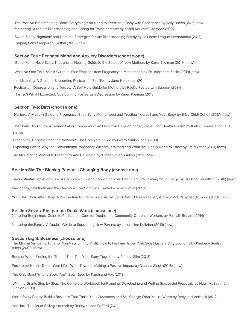The Positive Breastfeeding Book: Everything You Need to Feed Your Baby with Confidence by Amy Brown (2019) new Mothering Multiples: Breastfeeding and Caring for Twins or More! by Karen Kerkhoff Gromada (2007)

Sweet Sleep: Nighttime and Naptime Strategies for the Breastfeeding Family by La Leche League International (2014) Helping Baby Sleep Anni Gethin (2009) new

#### Section Four: Perinatal Mood and Anxiety Disorders (choose one)

Good Moms Have Scary Thoughts: a Healing Guide to the Secret of New Mothers by Karen Kleiman (2019) (new) What No One Tells You: A Guide to Your Emotions from Pregnancy to Motherhood by Dr. Alexandra Sacks (2019) (new) I'm Listening: A Guide to Supporting Postpartum Families by Jane Honikman (2014) Postpartum Depression and Anxiety: A Self-Help Guide for Mothers by Pacific Postpartum Support (2014) This Isn't What I Expected: Overcoming Postpartum Depression by Karen Kleiman (2013)

#### Section Five: Birth (choose one)

Nurture: A Modern Guide to Pregnancy, Birth, Early Motherhood and Trusting Yourself and Your Body by Erica Chidi Cohen (2017) (new)

The Doula Book: How a Trained Labor Companion Can Help You Have a Shorter, Easier, and Healthier Birth by Klaus, Kennell and Klaus (2012)

Pregnancy, Childbirth and the Newborn: The Complete Guide by Penny Simkin, et al (2018)

Expecting Better: Why the Conventional Pregnancy Wisdom Is Wrong and What You Really Need to Know by Emily Oster (2014) (new)

The Mini Mocha Manual to Pregnancy and Childbirth by Kimberly Seals Allers (2019) new

### Section Six: The Birthing Person's Changing Body (choose one)

The Postnatal Depletion Cure: A Complete Guide to Rebuilding Your Health and Reclaiming Your Energy by Dr.Oscar Serrallach (2018) (new)

Pregnancy, Childbirth and the Newborn: The Complete Guide by Simkin, et al (2018)

Your Best Body After Baby: A Postpartum Guide to Exercise, Sex, and Pelvic Floor Recovery (Book 2 Vol. 2) by Jen Torborg (2018) (new)

#### Section Seven: Postpartum Doula Work (choose one)

Nurturing Beginnings: Guide to Postpartum Care for Doulas and Community Outreach Workers by Pascali- Bonaro (2014)

Nurturing the Family: A Doula's Guide to Supporting New Parents by Jacqueline Kelleher (2019) (new)

#### Section Eight: Business (choose one)

The Mocha Manual to Turning Your Passion Into Profit: How to Find and Grow Your Side Hustle in Any Economy by Kimberly Seals-Allers (2009) (new)

Body of Work: Finding the Thread That Ties Your Story Together by Pamela Slim (2013)

Purposeful Hustle: Direct Your LIfe's Work Towards Making a Positive Impact by Deanna Singh (2018) (new)

The Only Grant-Writing Book You'll Ever Need by Karsh and Fox (2019)

Winning Grants Step by Step: The Complete Workbook for Planning, Developing and Writing Successful Proposals by Neal- McElrath 5th Edition (2019)

Worth Every Penny: Build a Business That Thrills Your Customers and Still Charge What You're Worth by Petty and Verbeck (2012)

You, Inc.: The Art of Selling Yourself by Beckwith and Clifford (2011)